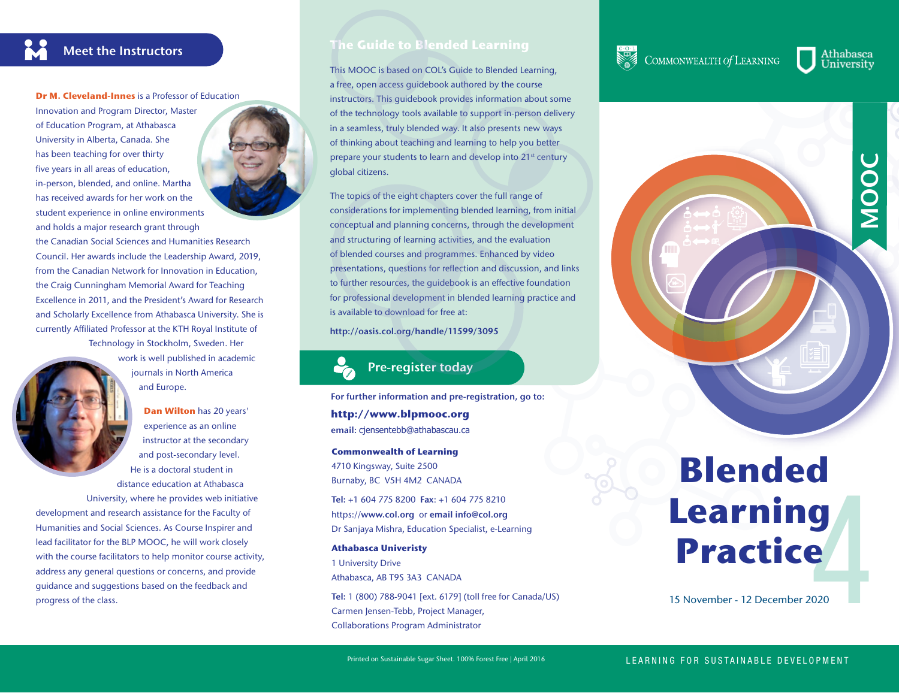

**Dr M. Cleveland-Innes** is a Professor of Education

Innovation and Program Director, Master of Education Program, at Athabasca University in Alberta, Canada. She has been teaching for over thirty five years in all areas of education, in-person, blended, and online. Martha has received awards for her work on the student experience in online environments

and holds a major research grant through the Canadian Social Sciences and Humanities Research Council. Her awards include the Leadership Award, 2019, from the Canadian Network for Innovation in Education, the Craig Cunningham Memorial Award for Teaching Excellence in 2011, and the President's Award for Research and Scholarly Excellence from Athabasca University. She is currently Affiliated Professor at the KTH Royal Institute of Technology in Stockholm, Sweden. Her work is well published in academic

> journals in North America and Europe.

**Dan Wilton** has 20 years' experience as an online instructor at the secondary and post-secondary level. He is a doctoral student in distance education at Athabasca University, where he provides web initiative development and research assistance for the Faculty of Humanities and Social Sciences. As Course Inspirer and lead facilitator for the BLP MOOC, he will work closely with the course facilitators to help monitor course activity, address any general questions or concerns, and provide guidance and suggestions based on the feedback and progress of the class.



## **The Guide to Blended Learning**

This MOOC is based on COL's Guide to Blended Learning, a free, open access guidebook authored by the course instructors. This guidebook provides information about some of the technology tools available to support in-person delivery in a seamless, truly blended way. It also presents new ways of thinking about teaching and learning to help you better prepare your students to learn and develop into 21<sup>st</sup> century global citizens.

The topics of the eight chapters cover the full range of considerations for implementing blended learning, from initial conceptual and planning concerns, through the development and structuring of learning activities, and the evaluation of blended courses and programmes. Enhanced by video presentations, questions for reflection and discussion, and links to further resources, the guidebook is an effective foundation for professional development in blended learning practice and is available to download for free at:

**http://oasis.col.org/handle/11599/3095**

## **Pre-register today**

**For further information and pre-registration, go to: http://www.blpmooc.org email:** cjensentebb@athabascau.ca

**Commonwealth of Learning** 4710 Kingsway, Suite 2500 Burnaby, BC V5H 4M2 CANADA

**Tel:** +1 604 775 8200 **Fax**: +1 604 775 8210 https://**www.col.org** or **email info@col.org**  Dr Sanjaya Mishra, Education Specialist, e-Learning

#### **Athabasca Univeristy**

1 University Drive Athabasca, AB T9S 3A3 CANADA

**Tel:** 1 (800) 788-9041 [ext. 6179] (toll free for Canada/US) Carmen Jensen-Tebb, Project Manager, Collaborations Program Administrator

# COMMONWEALTH Of LEARNING

Athabasca University



# **g**<br>e<br><sub>020</sub> **Blended Learning Practice**

15 November - 12 December 2020